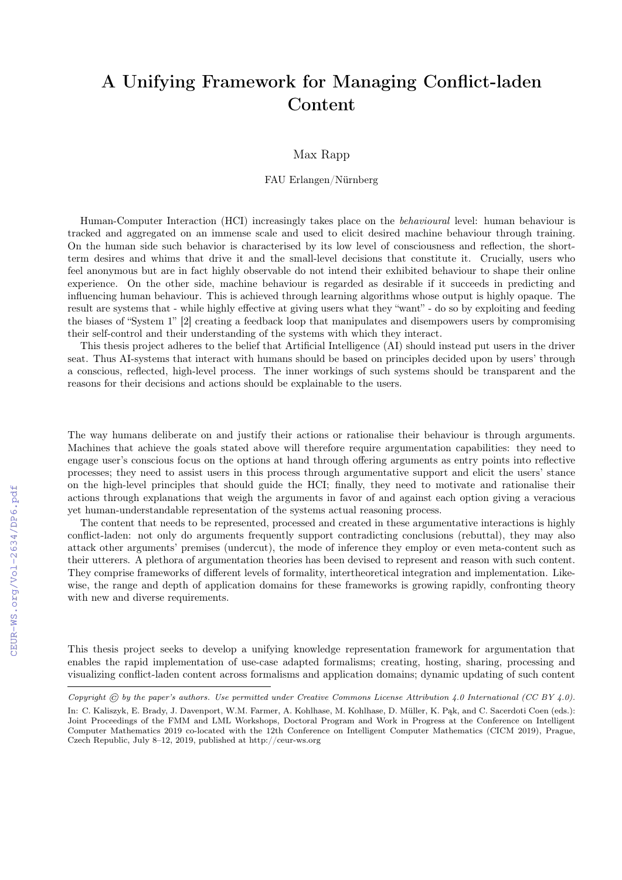## A Unifying Framework for Managing Conflict-laden Content

## Max Rapp

## FAU Erlangen/Nürnberg

Human-Computer Interaction (HCI) increasingly takes place on the *behavioural* level: human behaviour is tracked and aggregated on an immense scale and used to elicit desired machine behaviour through training. On the human side such behavior is characterised by its low level of consciousness and reflection, the shortterm desires and whims that drive it and the small-level decisions that constitute it. Crucially, users who feel anonymous but are in fact highly observable do not intend their exhibited behaviour to shape their online experience. On the other side, machine behaviour is regarded as desirable if it succeeds in predicting and influencing human behaviour. This is achieved through learning algorithms whose output is highly opaque. The result are systems that - while highly effective at giving users what they "want" - do so by exploiting and feeding the biases of "System 1" [2] creating a feedback loop that manipulates and disempowers users by compromising their self-control and their understanding of the systems with which they interact.

This thesis project adheres to the belief that Artificial Intelligence (AI) should instead put users in the driver seat. Thus AI-systems that interact with humans should be based on principles decided upon by users' through a conscious, reflected, high-level process. The inner workings of such systems should be transparent and the reasons for their decisions and actions should be explainable to the users.

The way humans deliberate on and justify their actions or rationalise their behaviour is through arguments. Machines that achieve the goals stated above will therefore require argumentation capabilities: they need to engage user's conscious focus on the options at hand through offering arguments as entry points into reflective processes; they need to assist users in this process through argumentative support and elicit the users' stance on the high-level principles that should guide the HCI; finally, they need to motivate and rationalise their actions through explanations that weigh the arguments in favor of and against each option giving a veracious yet human-understandable representation of the systems actual reasoning process.

The content that needs to be represented, processed and created in these argumentative interactions is highly conflict-laden: not only do arguments frequently support contradicting conclusions (rebuttal), they may also attack other arguments' premises (undercut), the mode of inference they employ or even meta-content such as their utterers. A plethora of argumentation theories has been devised to represent and reason with such content. They comprise frameworks of different levels of formality, intertheoretical integration and implementation. Likewise, the range and depth of application domains for these frameworks is growing rapidly, confronting theory with new and diverse requirements.

This thesis project seeks to develop a unifying knowledge representation framework for argumentation that enables the rapid implementation of use-case adapted formalisms; creating, hosting, sharing, processing and visualizing conflict-laden content across formalisms and application domains; dynamic updating of such content

Copyright  $\odot$  by the paper's authors. Use permitted under Creative Commons License Attribution 4.0 International (CC BY 4.0).

In: C. Kaliszyk, E. Brady, J. Davenport, W.M. Farmer, A. Kohlhase, M. Kohlhase, D. Müller, K. Pąk, and C. Sacerdoti Coen (eds.): Joint Proceedings of the FMM and LML Workshops, Doctoral Program and Work in Progress at the Conference on Intelligent Computer Mathematics 2019 co-located with the 12th Conference on Intelligent Computer Mathematics (CICM 2019), Prague, Czech Republic, July 8–12, 2019, published at http://ceur-ws.org